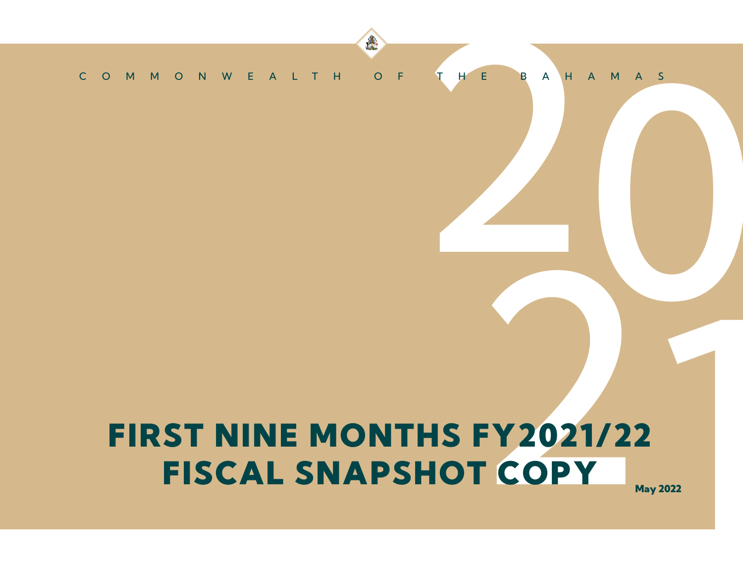# THE BAHAMAS COMMONWEALTH OF THE BAHAMAS

建

# FY2021/22<br>T COPY May 2022 FIRST NINE MONTHS FY2021/22 FISCAL SNAPSHOT COPY

May 2022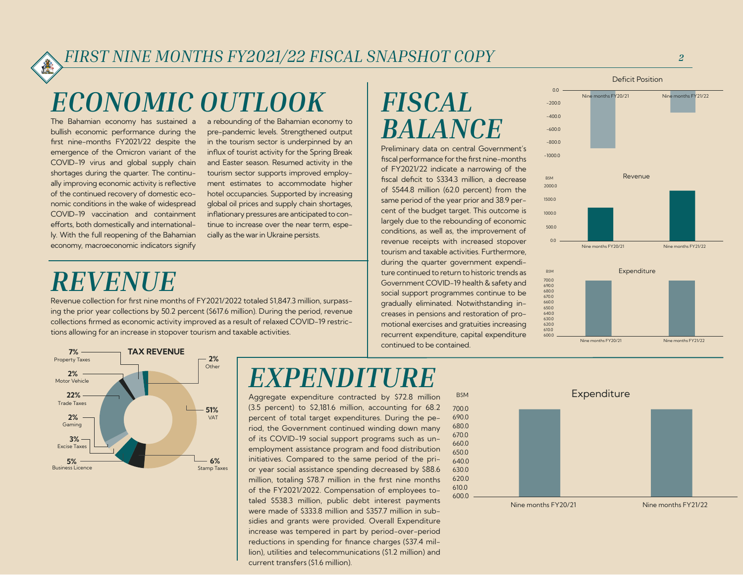# *ECONOMIC OUTLOOK*

The Bahamian economy has sustained a bullish economic performance during the first nine-months FY2021/22 despite the emergence of the Omicron variant of the COVID-19 virus and global supply chain shortages during the quarter. The continu ally improving economic activity is reflective of the continued recovery of domestic eco nomic conditions in the wake of widespread COVID-19 vaccination and containment efforts, both domestically and international ly. With the full reopening of the Bahamian economy, macroeconomic indicators signify

a rebounding of the Bahamian economy to pre-pandemic levels. Strengthened output in the tourism sector is underpinned by an influx of tourist activity for the Spring Break and Easter season. Resumed activity in the tourism sector supports improved employ ment estimates to accommodate higher hotel occupancies. Supported by increasing global oil prices and supply chain shortages, inflationary pressures are anticipated to con tinue to increase over the near term, espe cially as the war in Ukraine persists.

# *REVENUE*

Revenue collection for first nine months of FY2021/2022 totaled \$1,847.3 million, surpass ing the prior year collections by 50.2 percent (\$617.6 million). During the period, revenue collections firmed as economic activity improved as a result of relaxed COVID-19 restric tions allowing for an increase in stopover tourism and taxable activities.



# *EXPENDITURE*

Aggregate expenditure contracted by \$72.8 million (3.5 percent) to \$2,181.6 million, accounting for 68.2 percent of total target expenditures. During the pe riod, the Government continued winding down many of its COVID-19 social support programs such as un employment assistance program and food distribution initiatives. Compared to the same period of the pri or year social assistance spending decreased by \$88.6 million, totaling \$78.7 million in the first nine months of the FY2021/2022. Compensation of employees to taled \$538.3 million, public debt interest payments were made of \$333.8 million and \$357.7 million in sub sidies and grants were provided. Overall Expenditure increase was tempered in part by period-over-period reductions in spending for finance charges (\$37.4 mil lion), utilities and telecommunications (\$1.2 million) and current transfers (\$1.6 million).



BSM Expenditure

600.0 610.0 620.0 630.0 640.0 650.0 660.0 670.0 680.0 690.0 700.0

# *FISCAL BALANCE*

Preliminary data on central Government's fiscal performance for the first nine-months of FY2021/22 indicate a narrowing of the fiscal deficit to \$334.3 million, a decrease of \$544.8 million (62.0 percent) from the same period of the year prior and 38.9 per cent of the budget target. This outcome is largely due to the rebounding of economic conditions, as well as, the improvement of revenue receipts with increased stopover tourism and taxable activities. Furthermore, during the quarter government expendi ture continued to return to historic trends as Government COVID-19 health & safety and social support programmes continue to be gradually eliminated. Notwithstanding in creases in pensions and restoration of pro motional exercises and gratuities increasing recurrent expenditure, capital expenditure continued to be contained.

#### $-10000$  $-8000$  $-600.0$  $-400.0$  $-2000$  $0.0$ Nine months FY20/21 Nine months FY21/22 Deficit Position 1000.0 1500.0 2000.0 BSM Revenue



Nine months FY20/21 Nine months FY21/22

Nine months FY20/21 Nine months FY21/22

*2*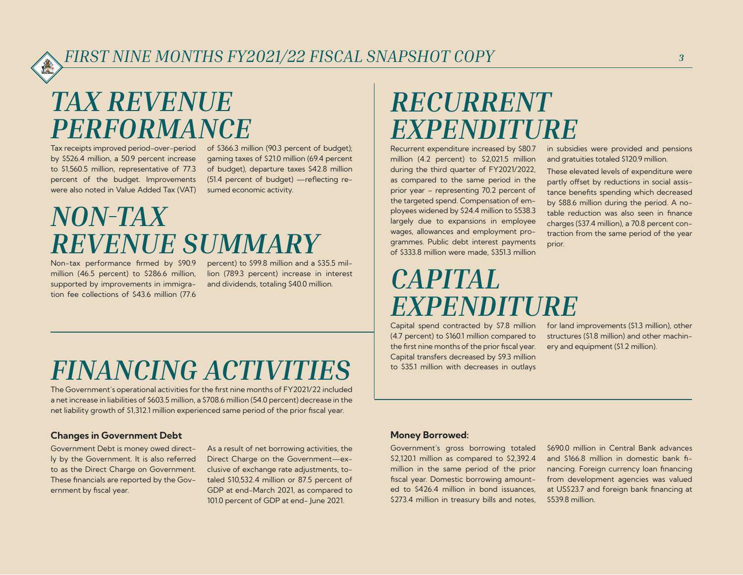# *TAX REVENUE PERFORMANCE*

Tax receipts improved period-over-period by \$526.4 million, a 50.9 percent increase to \$1,560.5 million, representative of 77.3 percent of the budget. Improvements were also noted in Value Added Tax (VAT)

of \$366.3 million (90.3 percent of budget); gaming taxes of \$21.0 million (69.4 percent of budget), departure taxes \$42.8 million (51.4 percent of budget) —reflecting resumed economic activity.

# *NON-TAX REVENUE SUMMARY*

Non-tax performance firmed by \$90.9 million (46.5 percent) to \$286.6 million, supported by improvements in immigration fee collections of \$43.6 million (77.6

percent) to \$99.8 million and a \$35.5 million (789.3 percent) increase in interest and dividends, totaling \$40.0 million.

## *RECURRENT EXPENDITURE*

Recurrent expenditure increased by \$80.7 million (4.2 percent) to \$2,021.5 million during the third quarter of FY2021/2022, as compared to the same period in the prior year – representing 70.2 percent of the targeted spend. Compensation of employees widened by \$24.4 million to \$538.3 largely due to expansions in employee wages, allowances and employment programmes. Public debt interest payments of \$333.8 million were made, \$351.3 million

#### *CAPITAL EXPENDITURE*  Capital spend contracted by \$7.8 million

(4.7 percent) to \$160.1 million compared to the first nine months of the prior fiscal year. for land improvements (\$1.3 million), other structures (\$1.8 million) and other machinery and equipment (\$1.2 million).

prior.

# *FINANCING ACTIVITIES*

The Government's operational activities for the first nine months of FY2021/22 included a net increase in liabilities of \$603.5 million, a \$708.6 million (54.0 percent) decrease in the net liability growth of \$1,312.1 million experienced same period of the prior fiscal year.

#### Changes in Government Debt

Government Debt is money owed directly by the Government. It is also referred to as the Direct Charge on Government. These financials are reported by the Government by fiscal year.

As a result of net borrowing activities, the Direct Charge on the Government—exclusive of exchange rate adjustments, totaled \$10,532.4 million or 87.5 percent of GDP at end-March 2021, as compared to 101.0 percent of GDP at end- June 2021.

#### Money Borrowed:

Government's gross borrowing totaled \$2,120.1 million as compared to \$2,392.4 million in the same period of the prior fiscal year. Domestic borrowing amounted to \$426.4 million in bond issuances, \$273.4 million in treasury bills and notes,

Capital transfers decreased by \$9.3 million to \$35.1 million with decreases in outlays

> \$690.0 million in Central Bank advances and \$166.8 million in domestic bank financing. Foreign currency loan financing from development agencies was valued at US\$23.7 and foreign bank financing at \$539.8 million.

> in subsidies were provided and pensions and gratuities totaled \$120.9 million. These elevated levels of expenditure were partly offset by reductions in social assistance benefits spending which decreased by \$88.6 million during the period. A notable reduction was also seen in finance charges (\$37.4 million), a 70.8 percent contraction from the same period of the year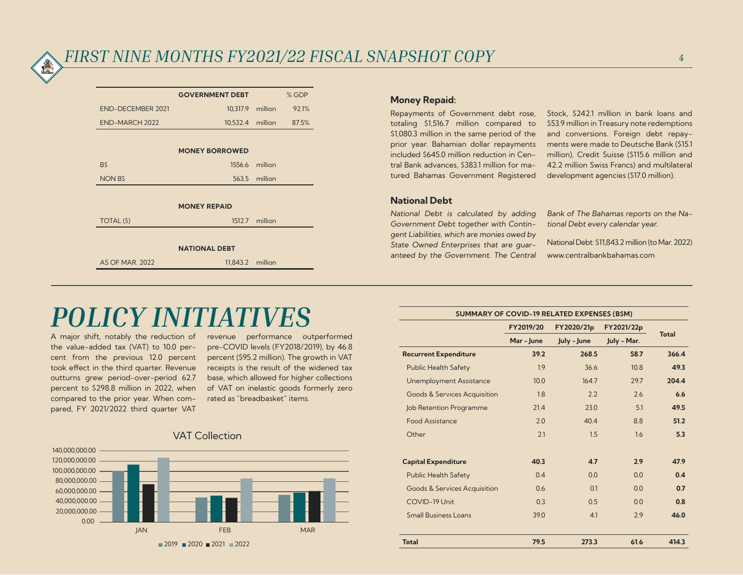|                          | <b>GOVERNMENT DEBT</b> |                | % GDP |  |  |  |  |
|--------------------------|------------------------|----------------|-------|--|--|--|--|
| <b>END-DECEMBER 2021</b> | 10,317.9               | million        | 92.1% |  |  |  |  |
| END-MARCH 2022           | 10,532.4               | million        | 87.5% |  |  |  |  |
|                          |                        |                |       |  |  |  |  |
| <b>MONEY BORROWED</b>    |                        |                |       |  |  |  |  |
| B\$                      |                        | 1556.6 million |       |  |  |  |  |
| <b>NON BS</b>            | 563.5                  | million        |       |  |  |  |  |
|                          |                        |                |       |  |  |  |  |
| <b>MONEY REPAID</b>      |                        |                |       |  |  |  |  |
| TOTAL (\$)               |                        | 1512.7 million |       |  |  |  |  |
|                          |                        |                |       |  |  |  |  |
| <b>NATIONAL DEBT</b>     |                        |                |       |  |  |  |  |
| <b>AS OF MAR. 2022</b>   | 11,843.2 million       |                |       |  |  |  |  |
|                          |                        |                |       |  |  |  |  |

#### Money Repaid:

Repayments of Government debt rose, totaling \$1,516.7 million compared to \$1,080.3 million in the same period of the prior year. Bahamian dollar repayments included \$645.0 million reduction in Central Bank advances, \$383.1 million for matured Bahamas Government Registered

Stock, \$242.1 million in bank loans and \$53.9 million in Treasury note redemptions and conversions. Foreign debt repayments were made to Deutsche Bank (\$15.1 million), Credit Suisse (\$115.6 million and 42.2 million Swiss Francs) and multilateral development agencies (\$17.0 million).

#### National Debt

National Debt is calculated by adding Government Debt together with Contingent Liabilities, which are monies owed by State Owned Enterprises that are guaranteed by the Government. The Central Bank of The Bahamas reports on the National Debt every calendar year.

National Debt: \$11,843.2 million (to Mar. 2022) www.centralbankbahamas.com

### *POLICY INITIATI*

A major shift, notably the reduction of the value-added tax (VAT) to 10.0 percent from the previous 12.0 percent took effect in the third quarter. Revenue outturns grew period-over-period 62.7 percent to \$298.8 million in 2022, when compared to the prior year. When compared, FY 2021/2022 third quarter VAT

revenue performance outperformed pre-COVID levels (FY2018/2019), by 46.8 percent (\$95.2 million). The growth in VAT receipts is the result of the widened tax base, which allowed for higher collections of VAT on inelastic goods formerly zero rated as "breadbasket" items.



| <b>SUMMARY OF COVID-19 RELATED EXPENSES (B\$M)</b> |            |             |                           |              |  |  |
|----------------------------------------------------|------------|-------------|---------------------------|--------------|--|--|
|                                                    | FY2019/20  | FY2020/21p  | FY2021/22p<br>July - Mar. | <b>Total</b> |  |  |
|                                                    | Mar - June | July - June |                           |              |  |  |
| <b>Recurrent Expenditure</b>                       | 39.2       | 268.5       | 58.7                      | 366.4        |  |  |
| <b>Public Health Safety</b>                        | 1.9        | 36.6        | 10.8                      | 49.3         |  |  |
| <b>Unemployment Assistance</b>                     | 10.0       | 164.7       | 29.7                      | 204.4        |  |  |
| Goods & Services Acquisition                       | 1.8        | 2.2         | 2.6                       | 6.6          |  |  |
| <b>Job Retention Programme</b>                     | 21.4       | 23.0        | 5.1                       | 49.5         |  |  |
| <b>Food Assistance</b>                             | 2.0        | 40.4        | 8.8                       | 51.2         |  |  |
| Other                                              | 2.1        | 1.5         | 1.6                       | 5.3          |  |  |
| <b>Capital Expenditure</b>                         | 40.3       | 4.7         | 2.9                       | 47.9         |  |  |
| <b>Public Health Safety</b>                        | 0.4        | 0.0         | 0.0                       | 0.4          |  |  |
| Goods & Services Acquisition                       | 0.6        | 0.1         | 0.0                       | 0.7          |  |  |
| COVID-19 Unit                                      | 0.3        | 0.5         | 0.0                       | 0.8          |  |  |
| <b>Small Business Loans</b>                        | 39.0       | 4.1         | 2.9                       | 46.0         |  |  |
| <b>Total</b>                                       | 79.5       | 273.3       | 61.6                      | 414.3        |  |  |
|                                                    |            |             |                           |              |  |  |